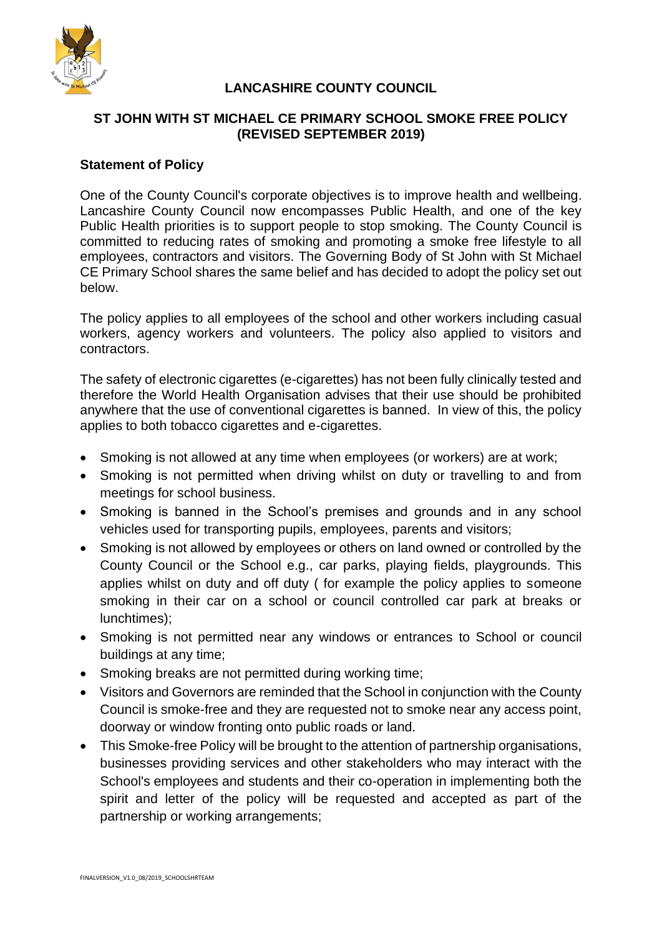

# **LANCASHIRE COUNTY COUNCIL**

## **ST JOHN WITH ST MICHAEL CE PRIMARY SCHOOL SMOKE FREE POLICY (REVISED SEPTEMBER 2019)**

### **Statement of Policy**

One of the County Council's corporate objectives is to improve health and wellbeing. Lancashire County Council now encompasses Public Health, and one of the key Public Health priorities is to support people to stop smoking. The County Council is committed to reducing rates of smoking and promoting a smoke free lifestyle to all employees, contractors and visitors. The Governing Body of St John with St Michael CE Primary School shares the same belief and has decided to adopt the policy set out below.

The policy applies to all employees of the school and other workers including casual workers, agency workers and volunteers. The policy also applied to visitors and contractors.

The safety of electronic cigarettes (e-cigarettes) has not been fully clinically tested and therefore the World Health Organisation advises that their use should be prohibited anywhere that the use of conventional cigarettes is banned. In view of this, the policy applies to both tobacco cigarettes and e-cigarettes.

- Smoking is not allowed at any time when employees (or workers) are at work;
- Smoking is not permitted when driving whilst on duty or travelling to and from meetings for school business.
- Smoking is banned in the School's premises and grounds and in any school vehicles used for transporting pupils, employees, parents and visitors;
- Smoking is not allowed by employees or others on land owned or controlled by the County Council or the School e.g., car parks, playing fields, playgrounds. This applies whilst on duty and off duty ( for example the policy applies to someone smoking in their car on a school or council controlled car park at breaks or lunchtimes);
- Smoking is not permitted near any windows or entrances to School or council buildings at any time;
- Smoking breaks are not permitted during working time;
- Visitors and Governors are reminded that the School in conjunction with the County Council is smoke-free and they are requested not to smoke near any access point, doorway or window fronting onto public roads or land.
- This Smoke-free Policy will be brought to the attention of partnership organisations, businesses providing services and other stakeholders who may interact with the School's employees and students and their co-operation in implementing both the spirit and letter of the policy will be requested and accepted as part of the partnership or working arrangements;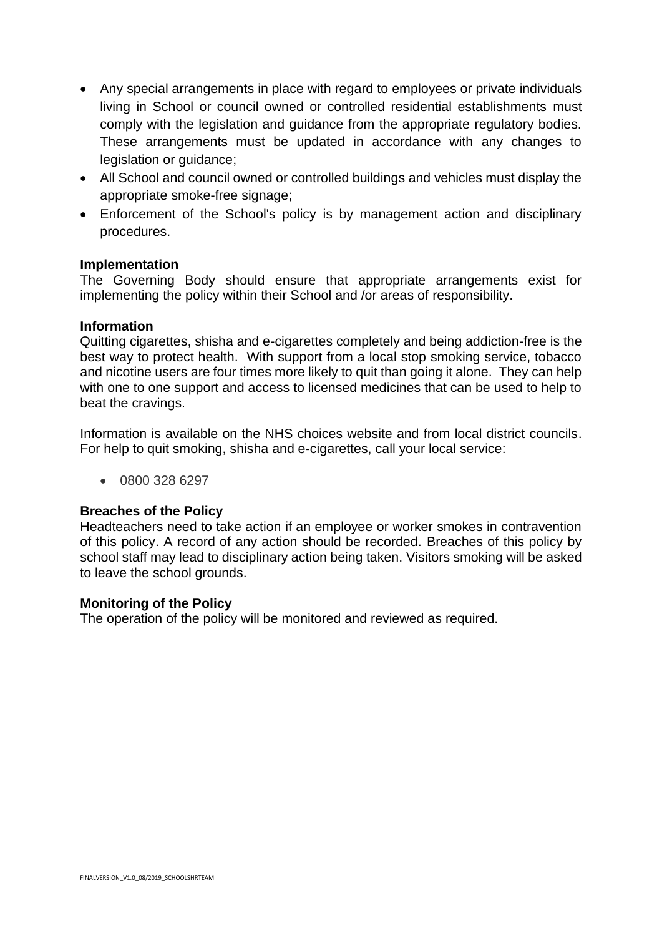- Any special arrangements in place with regard to employees or private individuals living in School or council owned or controlled residential establishments must comply with the legislation and guidance from the appropriate regulatory bodies. These arrangements must be updated in accordance with any changes to legislation or guidance;
- All School and council owned or controlled buildings and vehicles must display the appropriate smoke-free signage;
- Enforcement of the School's policy is by management action and disciplinary procedures.

### **Implementation**

The Governing Body should ensure that appropriate arrangements exist for implementing the policy within their School and /or areas of responsibility.

#### **Information**

Quitting cigarettes, shisha and e-cigarettes completely and being addiction-free is the best way to protect health. With support from a local stop smoking service, tobacco and nicotine users are four times more likely to quit than going it alone. They can help with one to one support and access to licensed medicines that can be used to help to beat the cravings.

Information is available on the NHS choices website and from local district councils. For help to quit smoking, shisha and e-cigarettes, call your local service:

• 0800 328 6297

#### **Breaches of the Policy**

Headteachers need to take action if an employee or worker smokes in contravention of this policy. A record of any action should be recorded. Breaches of this policy by school staff may lead to disciplinary action being taken. Visitors smoking will be asked to leave the school grounds.

#### **Monitoring of the Policy**

The operation of the policy will be monitored and reviewed as required.